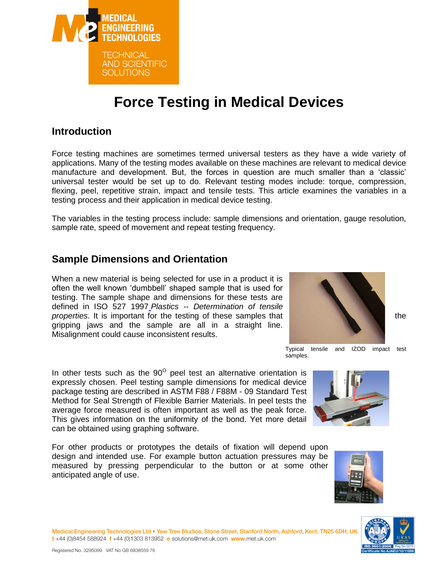

# **Force Testing in Medical Devices**

## **Introduction**

Force testing machines are sometimes termed universal testers as they have a wide variety of applications. Many of the testing modes available on these machines are relevant to medical device manufacture and development. But, the forces in question are much smaller than a 'classic' universal tester would be set up to do. Relevant testing modes include: torque, compression, flexing, peel, repetitive strain, impact and tensile tests. This article examines the variables in a testing process and their application in medical device testing.

The variables in the testing process include: sample dimensions and orientation, gauge resolution, sample rate, speed of movement and repeat testing frequency.

## **Sample Dimensions and Orientation**

When a new material is being selected for use in a product it is often the well known 'dumbbell' shaped sample that is used for testing. The sample shape and dimensions for these tests are defined in ISO 527 199[7](http://www.iso.org/iso/rss.xml?csnumber=22169&rss=detail) *Plastics -- Determination of tensile*  **properties**. It is important for the testing of these samples that the the the the gripping jaws and the sample are all in a straight line. Misalignment could cause inconsistent results.

In other tests such as the  $90^{\circ}$  peel test an alternative orientation is expressly chosen. Peel testing sample dimensions for medical device package testing are described in ASTM F88 / F88M - 09 Standard Test Method for Seal Strength of Flexible Barrier Materials. In peel tests the average force measured is often important as well as the peak force. This gives information on the uniformity of the bond. Yet more detail can be obtained using graphing software.

For other products or prototypes the details of fixation will depend upon design and intended use. For example button actuation pressures may be measured by pressing perpendicular to the button or at some other anticipated angle of use.

Medical Engineering Technologies Ltd . Yew Tree Studios, Stone Street, Stanford North, Ashford, Kent, TN25 6DH, UI t+44 (0)8454 588924 f+44 (0)1303 813952 e solutions@met.uk.com www.met.uk.com



Typical tensile and IZOD impact test samples.



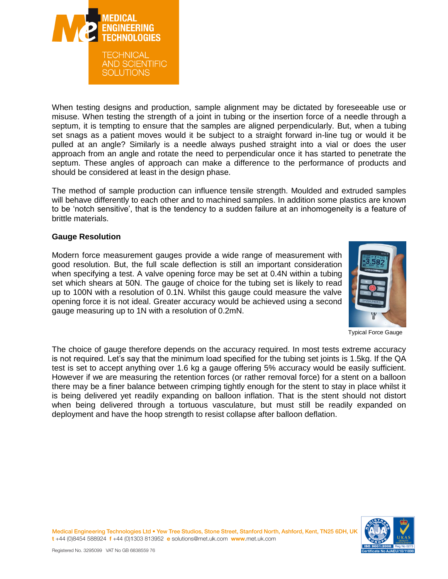

When testing designs and production, sample alignment may be dictated by foreseeable use or misuse. When testing the strength of a joint in tubing or the insertion force of a needle through a septum, it is tempting to ensure that the samples are aligned perpendicularly. But, when a tubing set snags as a patient moves would it be subject to a straight forward in-line tug or would it be pulled at an angle? Similarly is a needle always pushed straight into a vial or does the user approach from an angle and rotate the need to perpendicular once it has started to penetrate the septum. These angles of approach can make a difference to the performance of products and should be considered at least in the design phase.

The method of sample production can influence tensile strength. Moulded and extruded samples will behave differently to each other and to machined samples. In addition some plastics are known to be 'notch sensitive', that is the tendency to a sudden failure at an inhomogeneity is a feature of brittle materials.

### **Gauge Resolution**

Modern force measurement gauges provide a wide range of measurement with good resolution. But, the full scale deflection is still an important consideration when specifying a test. A valve opening force may be set at 0.4N within a tubing set which shears at 50N. The gauge of choice for the tubing set is likely to read up to 100N with a resolution of 0.1N. Whilst this gauge could measure the valve opening force it is not ideal. Greater accuracy would be achieved using a second gauge measuring up to 1N with a resolution of 0.2mN.



Typical Force Gauge

The choice of gauge therefore depends on the accuracy required. In most tests extreme accuracy is not required. Let's say that the minimum load specified for the tubing set joints is 1.5kg. If the QA test is set to accept anything over 1.6 kg a gauge offering 5% accuracy would be easily sufficient. However if we are measuring the retention forces (or rather removal force) for a stent on a balloon there may be a finer balance between crimping tightly enough for the stent to stay in place whilst it is being delivered yet readily expanding on balloon inflation. That is the stent should not distort when being delivered through a tortuous vasculature, but must still be readily expanded on deployment and have the hoop strength to resist collapse after balloon deflation.

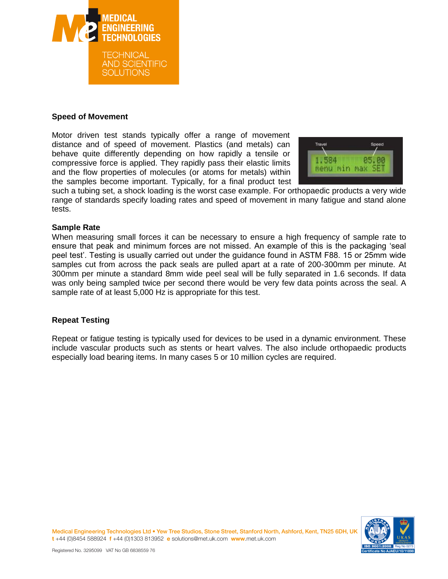

## **Speed of Movement**

Motor driven test stands typically offer a range of movement distance and of speed of movement. Plastics (and metals) can behave quite differently depending on how rapidly a tensile or compressive force is applied. They rapidly pass their elastic limits and the flow properties of molecules (or atoms for metals) within the samples become important. Typically, for a final product test



such a tubing set, a shock loading is the worst case example. For orthopaedic products a very wide range of standards specify loading rates and speed of movement in many fatigue and stand alone tests.

### **Sample Rate**

When measuring small forces it can be necessary to ensure a high frequency of sample rate to ensure that peak and minimum forces are not missed. An example of this is the packaging 'seal peel test'. Testing is usually carried out under the guidance found in ASTM F88. 15 or 25mm wide samples cut from across the pack seals are pulled apart at a rate of 200-300mm per minute. At 300mm per minute a standard 8mm wide peel seal will be fully separated in 1.6 seconds. If data was only being sampled twice per second there would be very few data points across the seal. A sample rate of at least 5,000 Hz is appropriate for this test.

## **Repeat Testing**

Repeat or fatigue testing is typically used for devices to be used in a dynamic environment. These include vascular products such as stents or heart valves. The also include orthopaedic products especially load bearing items. In many cases 5 or 10 million cycles are required.



Medical Engineering Technologies Ltd . Yew Tree Studios, Stone Street, Stanford North, Ashford, Kent, TN25 6DH, U t+44 (0)8454 588924 f+44 (0)1303 813952 e solutions@met.uk.com www.met.uk.com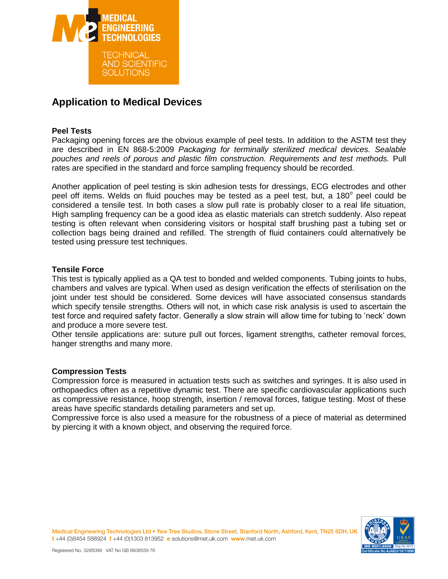

## **Application to Medical Devices**

## **Peel Tests**

Packaging opening forces are the obvious example of peel tests. In addition to the ASTM test they are described in EN 868-5:2009 *Packaging for terminally sterilized medical devices. Sealable pouches and reels of porous and plastic film construction. Requirements and test methods.* Pull rates are specified in the standard and force sampling frequency should be recorded.

Another application of peel testing is skin adhesion tests for dressings, ECG electrodes and other peel off items. Welds on fluid pouches may be tested as a peel test, but, a 180° peel could be considered a tensile test. In both cases a slow pull rate is probably closer to a real life situation, High sampling frequency can be a good idea as elastic materials can stretch suddenly. Also repeat testing is often relevant when considering visitors or hospital staff brushing past a tubing set or collection bags being drained and refilled. The strength of fluid containers could alternatively be tested using pressure test techniques.

## **Tensile Force**

This test is typically applied as a QA test to bonded and welded components. Tubing joints to hubs, chambers and valves are typical. When used as design verification the effects of sterilisation on the joint under test should be considered. Some devices will have associated consensus standards which specify tensile strengths. Others will not, in which case risk analysis is used to ascertain the test force and required safety factor. Generally a slow strain will allow time for tubing to 'neck' down and produce a more severe test.

Other tensile applications are: suture pull out forces, ligament strengths, catheter removal forces, hanger strengths and many more.

#### **Compression Tests**

Compression force is measured in actuation tests such as switches and syringes. It is also used in orthopaedics often as a repetitive dynamic test. There are specific cardiovascular applications such as compressive resistance, hoop strength, insertion / removal forces, fatigue testing. Most of these areas have specific standards detailing parameters and set up.

Compressive force is also used a measure for the robustness of a piece of material as determined by piercing it with a known object, and observing the required force.



Medical Engineering Technologies Ltd . Yew Tree Studios, Stone Street, Stanford North, Ashford, Kent, TN25 6DH, U t+44 (0)8454 588924 f+44 (0)1303 813952 e solutions@met.uk.com www.met.uk.com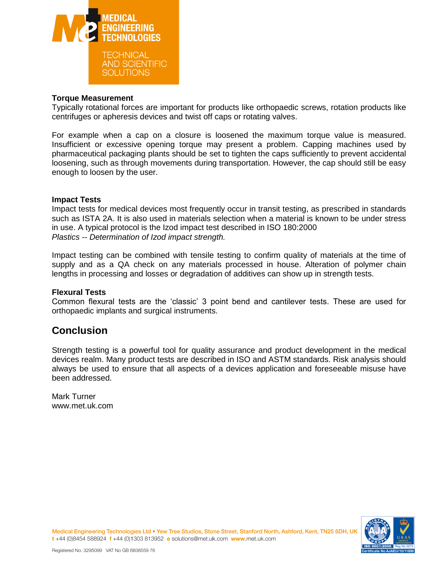

#### **Torque Measurement**

Typically rotational forces are important for products like orthopaedic screws, rotation products like centrifuges or apheresis devices and twist off caps or rotating valves.

For example when a cap on a closure is loosened the maximum torque value is measured. Insufficient or excessive opening torque may present a problem. Capping machines used by pharmaceutical packaging plants should be set to tighten the caps sufficiently to prevent accidental loosening, such as through movements during transportation. However, the cap should still be easy enough to loosen by the user.

#### **Impact Tests**

Impact tests for medical devices most frequently occur in transit testing, as prescribed in standards such as ISTA 2A. It is also used in materials selection when a material is known to be under stress in use. A typical protocol is the Izod impact test described in ISO 180:2000 *Plastics -- Determination of Izod impact strength.*

Impact testing can be combined with tensile testing to confirm quality of materials at the time of supply and as a QA check on any materials processed in house. Alteration of polymer chain lengths in processing and losses or degradation of additives can show up in strength tests.

#### **Flexural Tests**

Common flexural tests are the 'classic' 3 point bend and cantilever tests. These are used for orthopaedic implants and surgical instruments.

## **Conclusion**

Strength testing is a powerful tool for quality assurance and product development in the medical devices realm. Many product tests are described in ISO and ASTM standards. Risk analysis should always be used to ensure that all aspects of a devices application and foreseeable misuse have been addressed.

Mark Turner www.met.uk.com



Medical Engineering Technologies Ltd . Yew Tree Studios, Stone Street, Stanford North, Ashford, Kent, TN25 6DH, U t+44 (0)8454 588924 f+44 (0)1303 813952 e solutions@met.uk.com www.met.uk.com